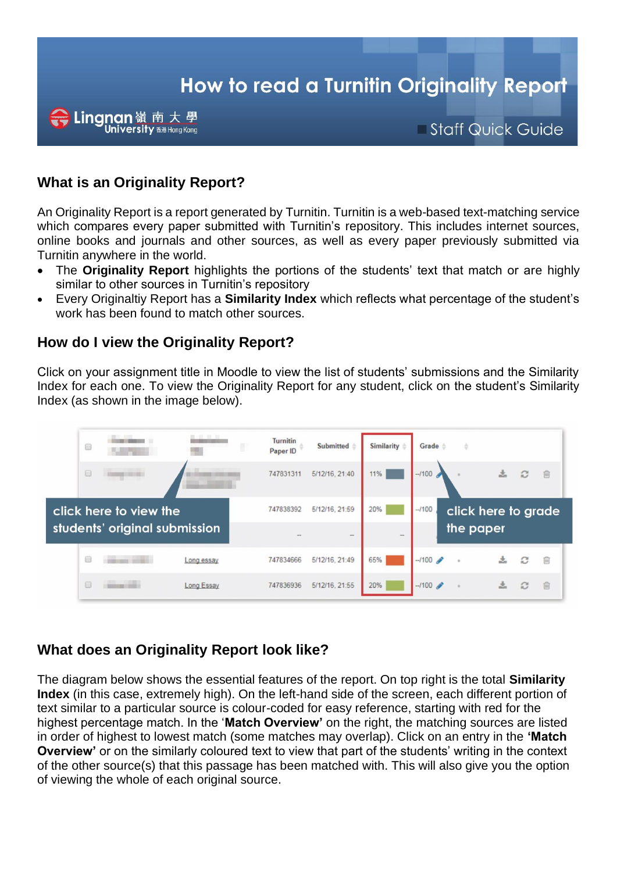

# **What is an Originality Report?**

An Originality Report is a report generated by Turnitin. Turnitin is a web-based text-matching service which compares every paper submitted with Turnitin's repository. This includes internet sources, online books and journals and other sources, as well as every paper previously submitted via Turnitin anywhere in the world.

- The **Originality Report** highlights the portions of the students' text that match or are highly similar to other sources in Turnitin's repository
- Every Originaltiy Report has a **Similarity Index** which reflects what percentage of the student's work has been found to match other sources.

### **How do I view the Originality Report?**

Click on your assignment title in Moodle to view the list of students' submissions and the Similarity Index for each one. To view the Originality Report for any student, click on the student's Similarity Index (as shown in the image below).



## **What does an Originality Report look like?**

The diagram below shows the essential features of the report. On top right is the total **Similarity Index** (in this case, extremely high). On the left-hand side of the screen, each different portion of text similar to a particular source is colour-coded for easy reference, starting with red for the highest percentage match. In the '**Match Overview'** on the right, the matching sources are listed in order of highest to lowest match (some matches may overlap). Click on an entry in the **'Match Overview'** or on the similarly coloured text to view that part of the students' writing in the context of the other source(s) that this passage has been matched with. This will also give you the option of viewing the whole of each original source.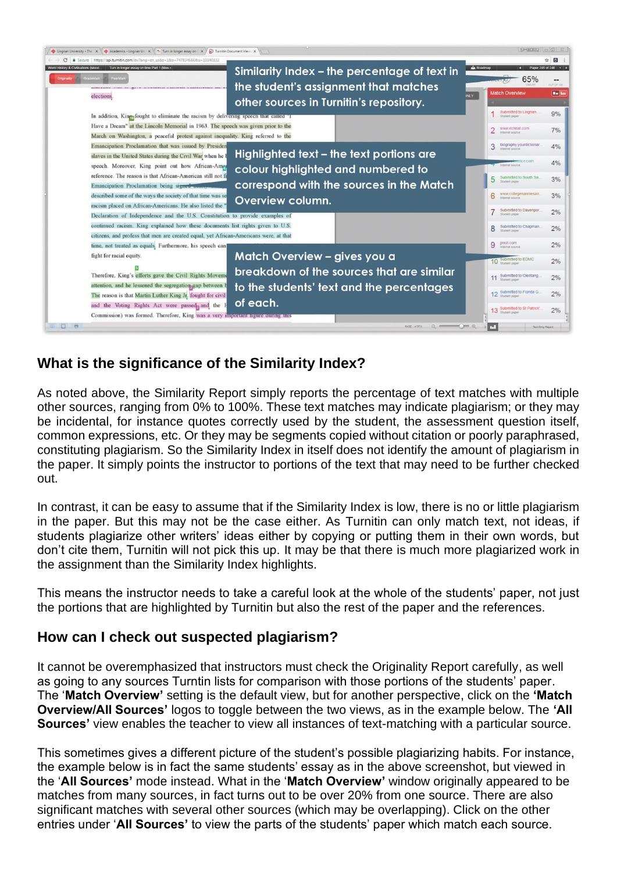

## **What is the significance of the Similarity Index?**

As noted above, the Similarity Report simply reports the percentage of text matches with multiple other sources, ranging from 0% to 100%. These text matches may indicate plagiarism; or they may be incidental, for instance quotes correctly used by the student, the assessment question itself, common expressions, etc. Or they may be segments copied without citation or poorly paraphrased, constituting plagiarism. So the Similarity Index in itself does not identify the amount of plagiarism in the paper. It simply points the instructor to portions of the text that may need to be further checked out.

In contrast, it can be easy to assume that if the Similarity Index is low, there is no or little plagiarism in the paper. But this may not be the case either. As Turnitin can only match text, not ideas, if students plagiarize other writers' ideas either by copying or putting them in their own words, but don't cite them, Turnitin will not pick this up. It may be that there is much more plagiarized work in the assignment than the Similarity Index highlights.

This means the instructor needs to take a careful look at the whole of the students' paper, not just the portions that are highlighted by Turnitin but also the rest of the paper and the references.

### **How can I check out suspected plagiarism?**

It cannot be overemphasized that instructors must check the Originality Report carefully, as well as going to any sources Turntin lists for comparison with those portions of the students' paper. The '**Match Overview'** setting is the default view, but for another perspective, click on the **'Match Overview/All Sources'** logos to toggle between the two views, as in the example below. The **'All Sources'** view enables the teacher to view all instances of text-matching with a particular source.

This sometimes gives a different picture of the student's possible plagiarizing habits. For instance, the example below is in fact the same students' essay as in the above screenshot, but viewed in the '**All Sources'** mode instead. What in the '**Match Overview'** window originally appeared to be matches from many sources, in fact turns out to be over 20% from one source. There are also significant matches with several other sources (which may be overlapping). Click on the other entries under '**All Sources'** to view the parts of the students' paper which match each source.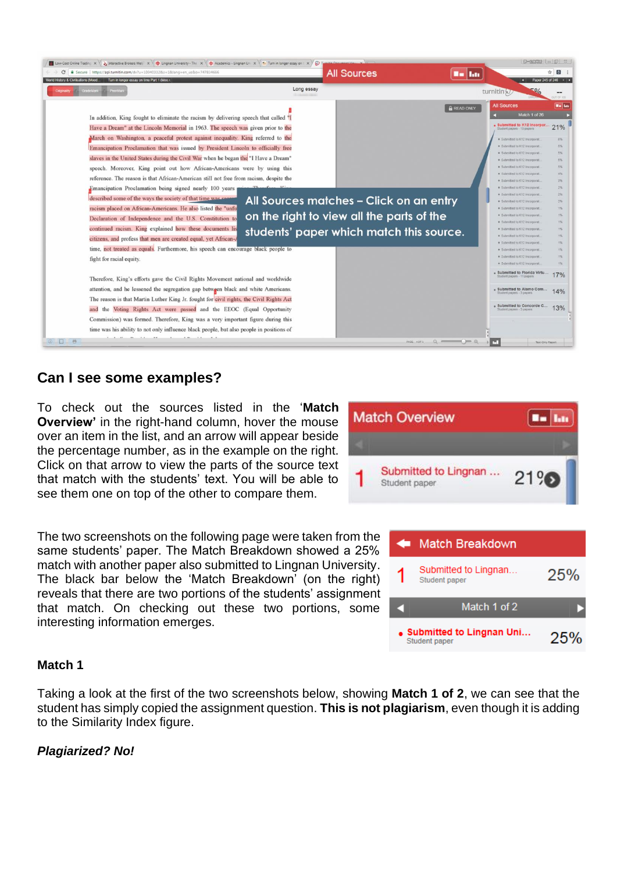

### **Can I see some examples?**

To check out the sources listed in the '**Match Overview'** in the right-hand column, hover the mouse over an item in the list, and an arrow will appear beside the percentage number, as in the example on the right. Click on that arrow to view the parts of the source text that match with the students' text. You will be able to see them one on top of the other to compare them.

The two screenshots on the following page were taken from the same students' paper. The Match Breakdown showed a 25% match with another paper also submitted to Lingnan University. The black bar below the 'Match Breakdown' (on the right) reveals that there are two portions of the students' assignment that match. On checking out these two portions, some interesting information emerges.

#### **Match 1**

Taking a look at the first of the two screenshots below, showing **Match 1 of 2**, we can see that the student has simply copied the assignment question. **This is not plagiarism**, even though it is adding to the Similarity Index figure.

#### *Plagiarized? No!*



| Match Breakdown                             |     |
|---------------------------------------------|-----|
| Submitted to Lingnan<br>Student paper       | 25% |
| Match 1 of 2                                |     |
| • Submitted to Lingnan Uni<br>Student paper |     |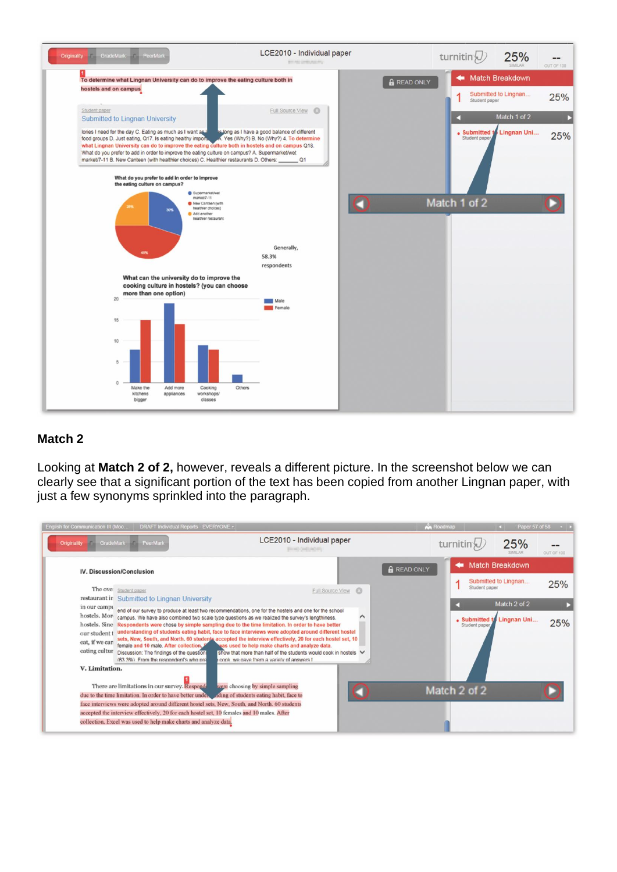

#### **Match 2**

Looking at **Match 2 of 2,** however, reveals a different picture. In the screenshot below we can clearly see that a significant portion of the text has been copied from another Lingnan paper, with just a few synonyms sprinkled into the paragraph.

| English for Communication III (Moo.<br>DRAFT Individual Reports - EVERYONE .                                                                                                                   | <b>Roadmap</b><br>Paper 57 of 58<br>сm                                                                                                                                                                                                                                                                                                                                                                                                                                                                                                                                                                                                                                                                                                                                                                                                                        | $\sim$ $\sim$ $\sim$                                                            |            |
|------------------------------------------------------------------------------------------------------------------------------------------------------------------------------------------------|---------------------------------------------------------------------------------------------------------------------------------------------------------------------------------------------------------------------------------------------------------------------------------------------------------------------------------------------------------------------------------------------------------------------------------------------------------------------------------------------------------------------------------------------------------------------------------------------------------------------------------------------------------------------------------------------------------------------------------------------------------------------------------------------------------------------------------------------------------------|---------------------------------------------------------------------------------|------------|
| GradeMark<br>PeerMark<br>Originality                                                                                                                                                           | LCE2010 - Individual paper<br>productions and                                                                                                                                                                                                                                                                                                                                                                                                                                                                                                                                                                                                                                                                                                                                                                                                                 | 25%<br>turnitin<br>SIMILAR                                                      | OUT OF 100 |
| <b>IV. Discussion/Conclusion</b>                                                                                                                                                               | <b>A</b> READ ONLY                                                                                                                                                                                                                                                                                                                                                                                                                                                                                                                                                                                                                                                                                                                                                                                                                                            | <b>Match Breakdown</b><br>Submitted to Lingnan                                  |            |
| The over Student paper<br>restaurant in Submitted to Lingnan University<br>in our campu<br>hostels. Mon<br>hostels. Sinc<br>our student t<br>eat, if we can<br>eating cultur<br>V. Limitation. | Full Source View <sup>6</sup><br>end of our survey to produce at least two recommendations, one for the hostels and one for the school<br>campus. We have also combined two scale type questions as we realized the survey's lengthiness.<br>Respondents were chose by simple sampling due to the time limitation. In order to have better<br>understanding of students eating habit, face to face interviews were adopted around different hostel<br>sets, New, South, and North. 60 students accepted the interview effectively, 20 for each hostel set, 10<br>female and 10 male. After collection,<br>was used to help make charts and analyze data.<br>Discussion: The findings of the question<br>show that more than half of the students would cook in hostels V<br>(63.3%) From the respondent's who pre<br>cook we gave them a variety of answers t | Student paper<br>Match 2 of 2<br>• Submitted t<br>Lingnan Uni<br>Student paper, | 25%<br>25% |
| There are limitations in our survey. Responde                                                                                                                                                  | were choosing by simple sampling<br>due to the time limitation. In order to have better under ading of students eating habit, face to<br>face interviews were adopted around different hostel sets, New, South, and North. 60 students<br>accepted the interview effectively, 20 for each hostel set, 10 females and 10 males. After<br>collection, Excel was used to help make charts and analyze data.                                                                                                                                                                                                                                                                                                                                                                                                                                                      | Match 2 of 2                                                                    |            |